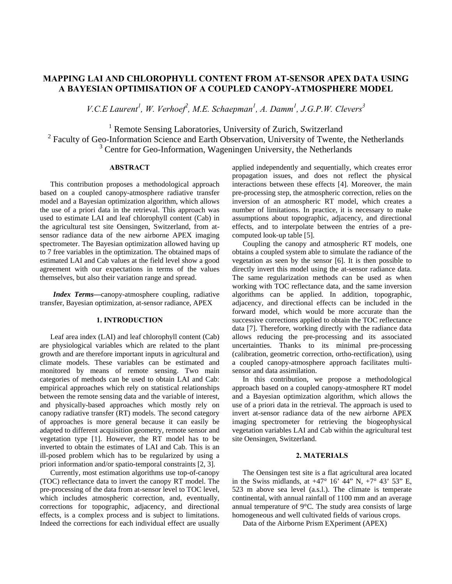# **MAPPING LAI AND CHLOROPHYLL CONTENT FROM AT-SENSOR APEX DATA USING A BAYESIAN OPTIMISATION OF A COUPLED CANOPY-ATMOSPHERE MODEL**

*V.C.E Laurent<sup>1</sup>, W. Verhoef<sup>2</sup>, M.E. Schaepman<sup>1</sup>, A. Damm<sup>1</sup>, J.G.P.W. Clevers<sup>3</sup>* 

<sup>1</sup> Remote Sensing Laboratories, University of Zurich, Switzerland

 $2$  Faculty of Geo-Information Science and Earth Observation, University of Twente, the Netherlands <sup>3</sup> Centre for Geo-Information, Wageningen University, the Netherlands

## **ABSTRACT**

This contribution proposes a methodological approach based on a coupled canopy-atmosphere radiative transfer model and a Bayesian optimization algorithm, which allows the use of a priori data in the retrieval. This approach was used to estimate LAI and leaf chlorophyll content (Cab) in the agricultural test site Oensingen, Switzerland, from atsensor radiance data of the new airborne APEX imaging spectrometer. The Bayesian optimization allowed having up to 7 free variables in the optimization. The obtained maps of estimated LAI and Cab values at the field level show a good agreement with our expectations in terms of the values themselves, but also their variation range and spread.

*Index Terms—*canopy-atmosphere coupling, radiative transfer, Bayesian optimization, at-sensor radiance, APEX

## **1. INTRODUCTION**

Leaf area index (LAI) and leaf chlorophyll content (Cab) are physiological variables which are related to the plant growth and are therefore important inputs in agricultural and climate models. These variables can be estimated and monitored by means of remote sensing. Two main categories of methods can be used to obtain LAI and Cab: empirical approaches which rely on statistical relationships between the remote sensing data and the variable of interest, and physically-based approaches which mostly rely on canopy radiative transfer (RT) models. The second category of approaches is more general because it can easily be adapted to different acquisition geometry, remote sensor and vegetation type [1]. However, the RT model has to be inverted to obtain the estimates of LAI and Cab. This is an ill-posed problem which has to be regularized by using a priori information and/or spatio-temporal constraints [2, 3].

Currently, most estimation algorithms use top-of-canopy (TOC) reflectance data to invert the canopy RT model. The pre-processing of the data from at-sensor level to TOC level, which includes atmospheric correction, and, eventually, corrections for topographic, adjacency, and directional effects, is a complex process and is subject to limitations. Indeed the corrections for each individual effect are usually

applied independently and sequentially, which creates error propagation issues, and does not reflect the physical interactions between these effects [4]. Moreover, the main pre-processing step, the atmospheric correction, relies on the inversion of an atmospheric RT model, which creates a number of limitations. In practice, it is necessary to make assumptions about topographic, adjacency, and directional effects, and to interpolate between the entries of a precomputed look-up table [5].

Coupling the canopy and atmospheric RT models, one obtains a coupled system able to simulate the radiance of the vegetation as seen by the sensor [6]. It is then possible to directly invert this model using the at-sensor radiance data. The same regularization methods can be used as when working with TOC reflectance data, and the same inversion algorithms can be applied. In addition, topographic, adjacency, and directional effects can be included in the forward model, which would be more accurate than the successive corrections applied to obtain the TOC reflectance data [7]. Therefore, working directly with the radiance data allows reducing the pre-processing and its associated uncertainties. Thanks to its minimal pre-processing (calibration, geometric correction, ortho-rectification), using a coupled canopy-atmosphere approach facilitates multisensor and data assimilation.

In this contribution, we propose a methodological approach based on a coupled canopy-atmosphere RT model and a Bayesian optimization algorithm, which allows the use of a priori data in the retrieval. The approach is used to invert at-sensor radiance data of the new airborne APEX imaging spectrometer for retrieving the biogeophysical vegetation variables LAI and Cab within the agricultural test site Oensingen, Switzerland.

## **2. MATERIALS**

The Oensingen test site is a flat agricultural area located in the Swiss midlands, at  $+47^{\circ}$  16' 44" N,  $+7^{\circ}$  43' 53" E, 523 m above sea level (a.s.l.). The climate is temperate continental, with annual rainfall of 1100 mm and an average annual temperature of 9°C. The study area consists of large homogeneous and well cultivated fields of various crops.

Data of the Airborne Prism EXperiment (APEX)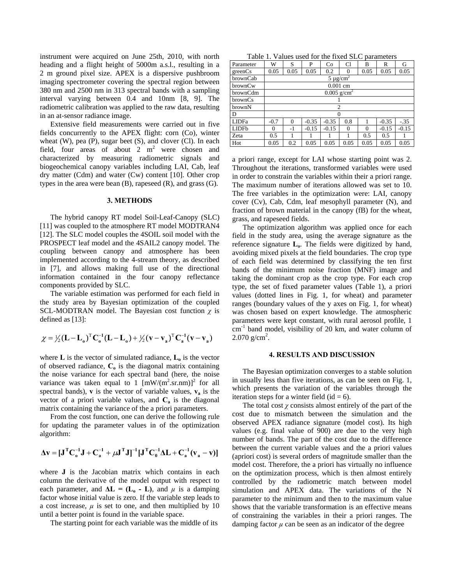instrument were acquired on June 25th, 2010, with north heading and a flight height of 5000m a.s.l., resulting in a 2 m ground pixel size. APEX is a dispersive pushbroom imaging spectrometer covering the spectral region between 380 nm and 2500 nm in 313 spectral bands with a sampling interval varying between 0.4 and 10nm [8, 9]. The radiometric calibration was applied to the raw data, resulting in an at-sensor radiance image.

Extensive field measurements were carried out in five fields concurrently to the APEX flight: corn (Co), winter wheat (W), pea (P), sugar beet (S), and clover (Cl). In each field, four areas of about  $2 \text{ m}^2$  were chosen and characterized by measuring radiometric signals and biogeochemical canopy variables including LAI, Cab, leaf dry matter (Cdm) and water (Cw) content [10]. Other crop types in the area were bean (B), rapeseed (R), and grass (G).

#### **3. METHODS**

The hybrid canopy RT model Soil-Leaf-Canopy (SLC) [11] was coupled to the atmosphere RT model MODTRAN4 [12]. The SLC model couples the 4SOIL soil model with the PROSPECT leaf model and the 4SAIL2 canopy model. The coupling between canopy and atmosphere has been implemented according to the 4-stream theory, as described in [7], and allows making full use of the directional information contained in the four canopy reflectance components provided by SLC.

The variable estimation was performed for each field in the study area by Bayesian optimization of the coupled SCL-MODTRAN model. The Bayesian cost function  $\chi$  is defined as [13]:

$$
\chi = \frac{1}{2} (\mathbf{L} - \mathbf{L}_{_0})^{\text{T}} \mathbf{C}_{_0}^{-1} (\mathbf{L} - \mathbf{L}_{_0}) + \frac{1}{2} (\mathbf{v} - \mathbf{v}_{_a})^{\text{T}} \mathbf{C}_{_a}^{-1} (\mathbf{v} - \mathbf{v}_{_a})
$$

where  $\bf{L}$  is the vector of simulated radiance,  $\bf{L}_0$  is the vector of observed radiance,  $C_0$  is the diagonal matrix containing the noise variance for each spectral band (here, the noise variance was taken equal to 1  $[mW/(m^2.sr.nm)]^2$  for all spectral bands),  $\bf{v}$  is the vector of variable values,  $\bf{v}_a$  is the vector of a priori variable values, and  $C_a$  is the diagonal matrix containing the variance of the a priori parameters.

From the cost function, one can derive the following rule for updating the parameter values in of the optimization algorithm:

$$
\Delta \mathbf{v} = [\mathbf{J}^{\mathrm{T}} \mathbf{C}_{o}^{-1} \mathbf{J} + \mathbf{C}_{a}^{-1} + \mu \mathbf{J}^{\mathrm{T}} \mathbf{J}]^{-1} [\mathbf{J}^{\mathrm{T}} \mathbf{C}_{0}^{-1} \Delta \mathbf{L} + \mathbf{C}_{a}^{-1} (\mathbf{v}_{a} - \mathbf{v})]
$$

where **J** is the Jacobian matrix which contains in each column the derivative of the model output with respect to each parameter, and  $\Delta L = (L_0 - L)$ , and  $\mu$  is a damping factor whose initial value is zero. If the variable step leads to a cost increase,  $\mu$  is set to one, and then multiplied by 10 until a better point is found in the variable space.

The starting point for each variable was the middle of its

Table 1. Values used for the fixed SLC parameters

| Parameter    | W                         | S        | P       | Co      | Cl       | B        | R       | G       |
|--------------|---------------------------|----------|---------|---------|----------|----------|---------|---------|
| greenCs      | 0.05                      | 0.05     | 0.05    | 0.2     | 0        | 0.05     | 0.05    | 0.05    |
| brownCab     | $5 \mu g/cm^2$            |          |         |         |          |          |         |         |
| brownCw      | $0.001$ cm                |          |         |         |          |          |         |         |
| brownCdm     | $0.005$ g/cm <sup>2</sup> |          |         |         |          |          |         |         |
| brownCs      |                           |          |         |         |          |          |         |         |
| brownN       | $\overline{c}$            |          |         |         |          |          |         |         |
| D            | $\theta$                  |          |         |         |          |          |         |         |
| LIDFa        | $-0.7$                    | $\Omega$ | $-0.35$ | $-0.35$ | 0.8      |          | $-0.35$ | $-.35$  |
| <b>LIDFb</b> | $\Omega$                  | $-1$     | $-0.15$ | $-0.15$ | $\theta$ | $\theta$ | $-0.15$ | $-0.15$ |
| Zeta         | 0.5                       |          |         |         |          | 0.5      | 0.5     |         |
| Hot          | 0.05                      | 0.2      | 0.05    | 0.05    | 0.05     | 0.05     | 0.05    | 0.05    |

a priori range, except for LAI whose starting point was 2. Throughout the iterations, transformed variables were used in order to constrain the variables within their a priori range. The maximum number of iterations allowed was set to 10. The free variables in the optimization were: LAI, canopy cover (Cv), Cab, Cdm, leaf mesophyll parameter (N), and fraction of brown material in the canopy (fB) for the wheat, grass, and rapeseed fields.

The optimization algorithm was applied once for each field in the study area, using the average signature as the reference signature **Lo**. The fields were digitized by hand, avoiding mixed pixels at the field boundaries. The crop type of each field was determined by classifying the ten first bands of the minimum noise fraction (MNF) image and taking the dominant crop as the crop type. For each crop type, the set of fixed parameter values (Table 1), a priori values (dotted lines in Fig. 1, for wheat) and parameter ranges (boundary values of the y axes on Fig. 1, for wheat) was chosen based on expert knowledge. The atmospheric parameters were kept constant, with rural aerosol profile, 1  $cm<sup>-1</sup>$  band model, visibility of 20 km, and water column of  $2.070$  g/cm<sup>2</sup>.

#### **4. RESULTS AND DISCUSSION**

The Bayesian optimization converges to a stable solution in usually less than five iterations, as can be seen on Fig. 1, which presents the variation of the variables through the iteration steps for a winter field  $(id = 6)$ .

The total cost  $\chi$  consists almost entirely of the part of the cost due to mismatch between the simulation and the observed APEX radiance signature (model cost). Its high values (e.g. final value of 900) are due to the very high number of bands. The part of the cost due to the difference between the current variable values and the a priori values (apriori cost) is several orders of magnitude smaller than the model cost. Therefore, the a priori has virtually no influence on the optimization process, which is then almost entirely controlled by the radiometric match between model simulation and APEX data. The variations of the N parameter to the minimum and then to the maximum value shows that the variable transformation is an effective means of constraining the variables in their a priori ranges. The damping factor  $\mu$  can be seen as an indicator of the degree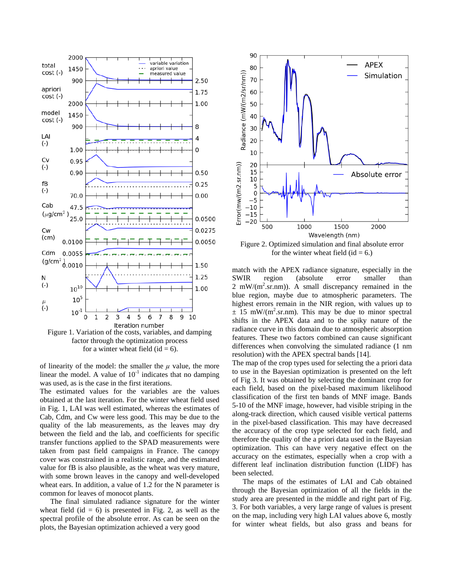

of linearity of the model: the smaller the *µ* value, the more linear the model. A value of  $10^{-1}$  indicates that no damping was used, as is the case in the first iterations.

The estimated values for the variables are the values obtained at the last iteration. For the winter wheat field used in Fig. 1, LAI was well estimated, whereas the estimates of Cab, Cdm, and Cw were less good. This may be due to the quality of the lab measurements, as the leaves may dry between the field and the lab, and coefficients for specific transfer functions applied to the SPAD measurements were taken from past field campaigns in France. The canopy cover was constrained in a realistic range, and the estimated value for fB is also plausible, as the wheat was very mature, with some brown leaves in the canopy and well-developed wheat ears. In addition, a value of 1.2 for the N parameter is common for leaves of monocot plants.

The final simulated radiance signature for the winter wheat field  $(id = 6)$  is presented in Fig. 2, as well as the spectral profile of the absolute error. As can be seen on the plots, the Bayesian optimization achieved a very good



Figure 2. Optimized simulation and final absolute error for the winter wheat field  $(id = 6.)$ 

match with the APEX radiance signature, especially in the SWIR region (absolute error smaller than 2 mW/( $m^2$ .sr.nm)). A small discrepancy remained in the blue region, maybe due to atmospheric parameters. The highest errors remain in the NIR region, with values up to  $\pm$  15 mW/(m<sup>2</sup>.sr.nm). This may be due to minor spectral shifts in the APEX data and to the spiky nature of the radiance curve in this domain due to atmospheric absorption features. These two factors combined can cause significant differences when convolving the simulated radiance (1 nm resolution) with the APEX spectral bands [14].

The map of the crop types used for selecting the a priori data to use in the Bayesian optimization is presented on the left of Fig 3. It was obtained by selecting the dominant crop for each field, based on the pixel-based maximum likelihood classification of the first ten bands of MNF image. Bands 5-10 of the MNF image, however, had visible striping in the along-track direction, which caused visible vertical patterns in the pixel-based classification. This may have decreased the accuracy of the crop type selected for each field, and therefore the quality of the a priori data used in the Bayesian optimization. This can have very negative effect on the accuracy on the estimates, especially when a crop with a different leaf inclination distribution function (LIDF) has been selected.

The maps of the estimates of LAI and Cab obtained through the Bayesian optimization of all the fields in the study area are presented in the middle and right part of Fig. 3. For both variables, a very large range of values is present on the map, including very high LAI values above 6, mostly for winter wheat fields, but also grass and beans for